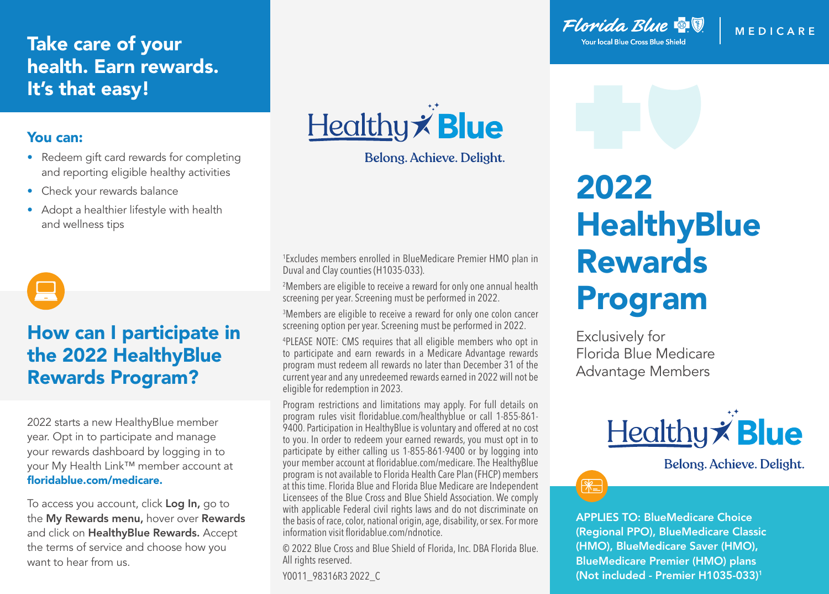## Take care of your health. Earn rewards. It's that easy!

#### You can:

- Redeem gift card rewards for completing and reporting eligible healthy activities
- Check your rewards balance
- Adopt a healthier lifestyle with health and wellness tips

# How can I participate in the 2022 HealthyBlue Rewards Program?

2022 starts a new HealthyBlue member year. Opt in to participate and manage your rewards dashboard by logging in to your My Health Link™ member account at floridablue.com/medicare.

To access you account, click Log In, go to the My Rewards menu, hover over Rewards and click on HealthyBlue Rewards. Accept the terms of service and choose how you want to hear from us.



Belong. Achieve. Delight.

1 Excludes members enrolled in BlueMedicare Premier HMO plan in Duval and Clay counties (H1035-033).

2 Members are eligible to receive a reward for only one annual health screening per year. Screening must be performed in 2022.

3 Members are eligible to receive a reward for only one colon cancer screening option per year. Screening must be performed in 2022.

4 PLEASE NOTE: CMS requires that all eligible members who opt in to participate and earn rewards in a Medicare Advantage rewards program must redeem all rewards no later than December 31 of the current year and any unredeemed rewards earned in 2022 will not be eligible for redemption in 2023.

Program restrictions and limitations may apply. For full details on program rules visit floridablue.com/healthyblue or call 1-855-861- 9400. Participation in HealthyBlue is voluntary and offered at no cost to you. In order to redeem your earned rewards, you must opt in to participate by either calling us 1-855-861-9400 or by logging into your member account at floridablue.com/medicare. The HealthyBlue program is not available to Florida Health Care Plan (FHCP) members at this time. Florida Blue and Florida Blue Medicare are Independent Licensees of the Blue Cross and Blue Shield Association. We comply with applicable Federal civil rights laws and do not discriminate on the basis of race, color, national origin, age, disability, or sex. For more information visit floridablue.com/ndnotice.

© 2022 Blue Cross and Blue Shield of Florida, Inc. DBA Florida Blue. All rights reserved.

Y0011\_98316R3 2022\_C

Florida Blue & V **Your local Blue Cross Blue Shield** 

#### **MEDIC ARE**

# 2022 **HealthyBlue** Rewards Program

Exclusively for Florida Blue Medicare Advantage Members



Belong. Achieve. Delight.